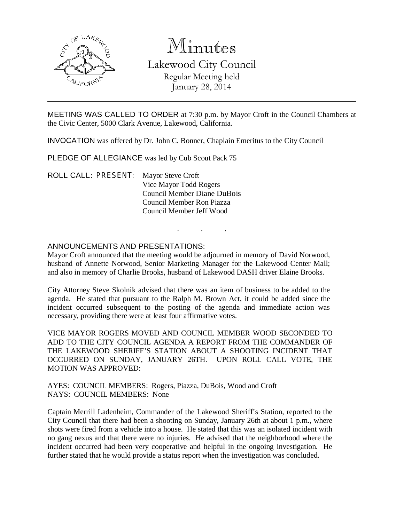

# Minutes

Lakewood City Council Regular Meeting held January 28, 2014

MEETING WAS CALLED TO ORDER at 7:30 p.m. by Mayor Croft in the Council Chambers at the Civic Center, 5000 Clark Avenue, Lakewood, California.

INVOCATION was offered by Dr. John C. Bonner, Chaplain Emeritus to the City Council

PLEDGE OF ALLEGIANCE was led by Cub Scout Pack 75

ROLL CALL: PRESENT: Mayor Steve Croft Vice Mayor Todd Rogers Council Member Diane DuBois Council Member Ron Piazza Council Member Jeff Wood

# ANNOUNCEMENTS AND PRESENTATIONS:

Mayor Croft announced that the meeting would be adjourned in memory of David Norwood, husband of Annette Norwood, Senior Marketing Manager for the Lakewood Center Mall; and also in memory of Charlie Brooks, husband of Lakewood DASH driver Elaine Brooks.

. . .

City Attorney Steve Skolnik advised that there was an item of business to be added to the agenda. He stated that pursuant to the Ralph M. Brown Act, it could be added since the incident occurred subsequent to the posting of the agenda and immediate action was necessary, providing there were at least four affirmative votes.

VICE MAYOR ROGERS MOVED AND COUNCIL MEMBER WOOD SECONDED TO ADD TO THE CITY COUNCIL AGENDA A REPORT FROM THE COMMANDER OF THE LAKEWOOD SHERIFF'S STATION ABOUT A SHOOTING INCIDENT THAT OCCURRED ON SUNDAY, JANUARY 26TH. UPON ROLL CALL VOTE, THE MOTION WAS APPROVED:

AYES: COUNCIL MEMBERS: Rogers, Piazza, DuBois, Wood and Croft NAYS: COUNCIL MEMBERS: None

Captain Merrill Ladenheim, Commander of the Lakewood Sheriff's Station, reported to the City Council that there had been a shooting on Sunday, January 26th at about 1 p.m., where shots were fired from a vehicle into a house. He stated that this was an isolated incident with no gang nexus and that there were no injuries. He advised that the neighborhood where the incident occurred had been very cooperative and helpful in the ongoing investigation. He further stated that he would provide a status report when the investigation was concluded.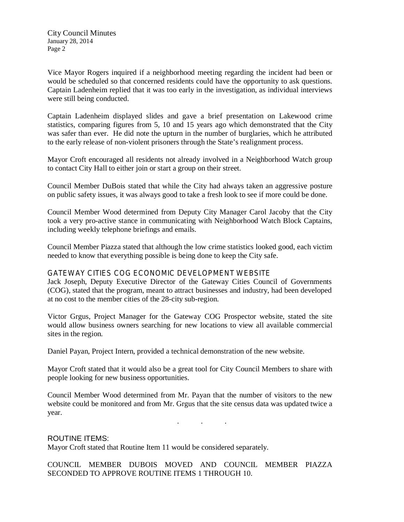Vice Mayor Rogers inquired if a neighborhood meeting regarding the incident had been or would be scheduled so that concerned residents could have the opportunity to ask questions. Captain Ladenheim replied that it was too early in the investigation, as individual interviews were still being conducted.

Captain Ladenheim displayed slides and gave a brief presentation on Lakewood crime statistics, comparing figures from 5, 10 and 15 years ago which demonstrated that the City was safer than ever. He did note the upturn in the number of burglaries, which he attributed to the early release of non-violent prisoners through the State's realignment process.

Mayor Croft encouraged all residents not already involved in a Neighborhood Watch group to contact City Hall to either join or start a group on their street.

Council Member DuBois stated that while the City had always taken an aggressive posture on public safety issues, it was always good to take a fresh look to see if more could be done.

Council Member Wood determined from Deputy City Manager Carol Jacoby that the City took a very pro-active stance in communicating with Neighborhood Watch Block Captains, including weekly telephone briefings and emails.

Council Member Piazza stated that although the low crime statistics looked good, each victim needed to know that everything possible is being done to keep the City safe.

### GATEWAY CITIES COG ECONOMIC DEVELOPMENT WEBSITE

Jack Joseph, Deputy Executive Director of the Gateway Cities Council of Governments (COG), stated that the program, meant to attract businesses and industry, had been developed at no cost to the member cities of the 28-city sub-region.

Victor Grgus, Project Manager for the Gateway COG Prospector website, stated the site would allow business owners searching for new locations to view all available commercial sites in the region.

Daniel Payan, Project Intern, provided a technical demonstration of the new website.

Mayor Croft stated that it would also be a great tool for City Council Members to share with people looking for new business opportunities.

Council Member Wood determined from Mr. Payan that the number of visitors to the new website could be monitored and from Mr. Grgus that the site census data was updated twice a year.

. . .

## ROUTINE ITEMS:

Mayor Croft stated that Routine Item 11 would be considered separately.

COUNCIL MEMBER DUBOIS MOVED AND COUNCIL MEMBER PIAZZA SECONDED TO APPROVE ROUTINE ITEMS 1 THROUGH 10.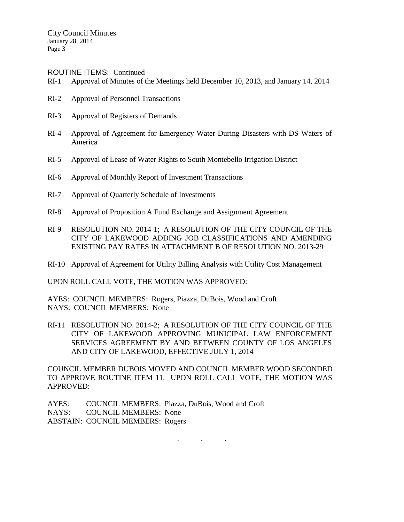ROUTINE ITEMS: Continued

- RI-1 Approval of Minutes of the Meetings held December 10, 2013, and January 14, 2014
- RI-2 Approval of Personnel Transactions
- RI-3 Approval of Registers of Demands
- RI-4 Approval of Agreement for Emergency Water During Disasters with DS Waters of America
- RI-5 Approval of Lease of Water Rights to South Montebello Irrigation District
- RI-6 Approval of Monthly Report of Investment Transactions
- RI-7 Approval of Quarterly Schedule of Investments
- RI-8 Approval of Proposition A Fund Exchange and Assignment Agreement
- RI-9 RESOLUTION NO. 2014-1; A RESOLUTION OF THE CITY COUNCIL OF THE CITY OF LAKEWOOD ADDING JOB CLASSIFICATIONS AND AMENDING EXISTING PAY RATES IN ATTACHMENT B OF RESOLUTION NO. 2013-29
- RI-10 Approval of Agreement for Utility Billing Analysis with Utility Cost Management

UPON ROLL CALL VOTE, THE MOTION WAS APPROVED:

AYES: COUNCIL MEMBERS: Rogers, Piazza, DuBois, Wood and Croft NAYS: COUNCIL MEMBERS: None

RI-11 RESOLUTION NO. 2014-2; A RESOLUTION OF THE CITY COUNCIL OF THE CITY OF LAKEWOOD APPROVING MUNICIPAL LAW ENFORCEMENT SERVICES AGREEMENT BY AND BETWEEN COUNTY OF LOS ANGELES AND CITY OF LAKEWOOD, EFFECTIVE JULY 1, 2014

COUNCIL MEMBER DUBOIS MOVED AND COUNCIL MEMBER WOOD SECONDED TO APPROVE ROUTINE ITEM 11. UPON ROLL CALL VOTE, THE MOTION WAS APPROVED:

. . .

AYES: COUNCIL MEMBERS: Piazza, DuBois, Wood and Croft NAYS: COUNCIL MEMBERS: None ABSTAIN: COUNCIL MEMBERS: Rogers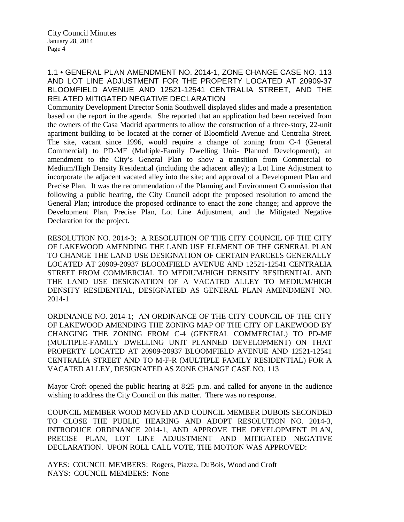# 1.1 • GENERAL PLAN AMENDMENT NO. 2014-1, ZONE CHANGE CASE NO. 113 AND LOT LINE ADJUSTMENT FOR THE PROPERTY LOCATED AT 20909-37 BLOOMFIELD AVENUE AND 12521-12541 CENTRALIA STREET, AND THE RELATED MITIGATED NEGATIVE DECLARATION

Community Development Director Sonia Southwell displayed slides and made a presentation based on the report in the agenda. She reported that an application had been received from the owners of the Casa Madrid apartments to allow the construction of a three-story, 22-unit apartment building to be located at the corner of Bloomfield Avenue and Centralia Street. The site, vacant since 1996, would require a change of zoning from C-4 (General Commercial) to PD-MF (Multiple-Family Dwelling Unit- Planned Development); an amendment to the City's General Plan to show a transition from Commercial to Medium/High Density Residential (including the adjacent alley); a Lot Line Adjustment to incorporate the adjacent vacated alley into the site; and approval of a Development Plan and Precise Plan. It was the recommendation of the Planning and Environment Commission that following a public hearing, the City Council adopt the proposed resolution to amend the General Plan; introduce the proposed ordinance to enact the zone change; and approve the Development Plan, Precise Plan, Lot Line Adjustment, and the Mitigated Negative Declaration for the project.

RESOLUTION NO. 2014-3; A RESOLUTION OF THE CITY COUNCIL OF THE CITY OF LAKEWOOD AMENDING THE LAND USE ELEMENT OF THE GENERAL PLAN TO CHANGE THE LAND USE DESIGNATION OF CERTAIN PARCELS GENERALLY LOCATED AT 20909-20937 BLOOMFIELD AVENUE AND 12521-12541 CENTRALIA STREET FROM COMMERCIAL TO MEDIUM/HIGH DENSITY RESIDENTIAL AND THE LAND USE DESIGNATION OF A VACATED ALLEY TO MEDIUM/HIGH DENSITY RESIDENTIAL, DESIGNATED AS GENERAL PLAN AMENDMENT NO. 2014-1

ORDINANCE NO. 2014-1; AN ORDINANCE OF THE CITY COUNCIL OF THE CITY OF LAKEWOOD AMENDING THE ZONING MAP OF THE CITY OF LAKEWOOD BY CHANGING THE ZONING FROM C-4 (GENERAL COMMERCIAL) TO PD-MF (MULTIPLE-FAMILY DWELLING UNIT PLANNED DEVELOPMENT) ON THAT PROPERTY LOCATED AT 20909-20937 BLOOMFIELD AVENUE AND 12521-12541 CENTRALIA STREET AND TO M-F-R (MULTIPLE FAMILY RESIDENTIAL) FOR A VACATED ALLEY, DESIGNATED AS ZONE CHANGE CASE NO. 113

Mayor Croft opened the public hearing at 8:25 p.m. and called for anyone in the audience wishing to address the City Council on this matter. There was no response.

COUNCIL MEMBER WOOD MOVED AND COUNCIL MEMBER DUBOIS SECONDED TO CLOSE THE PUBLIC HEARING AND ADOPT RESOLUTION NO. 2014-3, INTRODUCE ORDINANCE 2014-1, AND APPROVE THE DEVELOPMENT PLAN, PRECISE PLAN, LOT LINE ADJUSTMENT AND MITIGATED NEGATIVE DECLARATION. UPON ROLL CALL VOTE, THE MOTION WAS APPROVED:

AYES: COUNCIL MEMBERS: Rogers, Piazza, DuBois, Wood and Croft NAYS: COUNCIL MEMBERS: None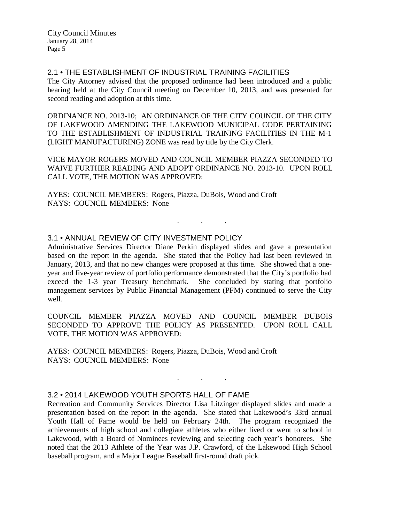## 2.1 • THE ESTABLISHMENT OF INDUSTRIAL TRAINING FACILITIES

The City Attorney advised that the proposed ordinance had been introduced and a public hearing held at the City Council meeting on December 10, 2013, and was presented for second reading and adoption at this time.

ORDINANCE NO. 2013-10; AN ORDINANCE OF THE CITY COUNCIL OF THE CITY OF LAKEWOOD AMENDING THE LAKEWOOD MUNICIPAL CODE PERTAINING TO THE ESTABLISHMENT OF INDUSTRIAL TRAINING FACILITIES IN THE M-1 (LIGHT MANUFACTURING) ZONE was read by title by the City Clerk.

VICE MAYOR ROGERS MOVED AND COUNCIL MEMBER PIAZZA SECONDED TO WAIVE FURTHER READING AND ADOPT ORDINANCE NO. 2013-10. UPON ROLL CALL VOTE, THE MOTION WAS APPROVED:

. . .

AYES: COUNCIL MEMBERS: Rogers, Piazza, DuBois, Wood and Croft NAYS: COUNCIL MEMBERS: None

# 3.1 • ANNUAL REVIEW OF CITY INVESTMENT POLICY

Administrative Services Director Diane Perkin displayed slides and gave a presentation based on the report in the agenda. She stated that the Policy had last been reviewed in January, 2013, and that no new changes were proposed at this time. She showed that a oneyear and five-year review of portfolio performance demonstrated that the City's portfolio had exceed the 1-3 year Treasury benchmark. She concluded by stating that portfolio management services by Public Financial Management (PFM) continued to serve the City well.

COUNCIL MEMBER PIAZZA MOVED AND COUNCIL MEMBER DUBOIS SECONDED TO APPROVE THE POLICY AS PRESENTED. UPON ROLL CALL VOTE, THE MOTION WAS APPROVED:

AYES: COUNCIL MEMBERS: Rogers, Piazza, DuBois, Wood and Croft NAYS: COUNCIL MEMBERS: None

### 3.2 • 2014 LAKEWOOD YOUTH SPORTS HALL OF FAME

Recreation and Community Services Director Lisa Litzinger displayed slides and made a presentation based on the report in the agenda. She stated that Lakewood's 33rd annual Youth Hall of Fame would be held on February 24th. The program recognized the achievements of high school and collegiate athletes who either lived or went to school in Lakewood, with a Board of Nominees reviewing and selecting each year's honorees. She noted that the 2013 Athlete of the Year was J.P. Crawford, of the Lakewood High School baseball program, and a Major League Baseball first-round draft pick.

. . .